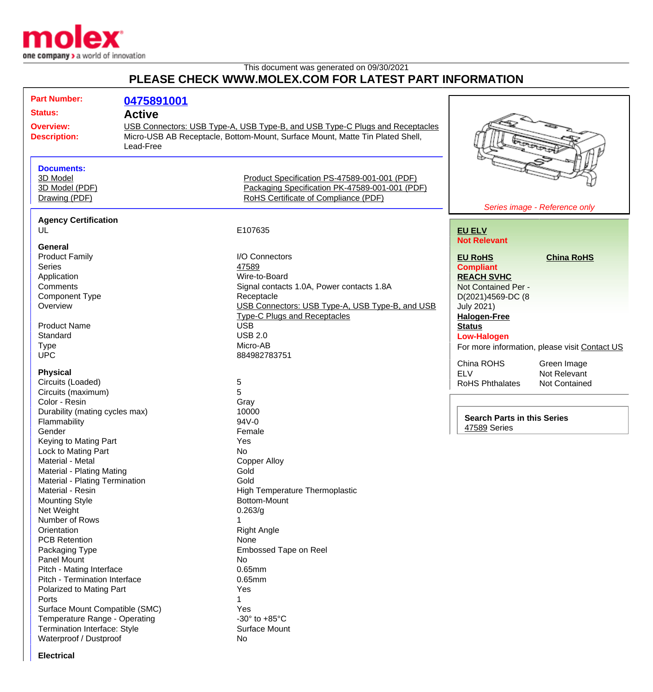

## This document was generated on 09/30/2021

## **PLEASE CHECK WWW.MOLEX.COM FOR LATEST PART INFORMATION**

| <b>Part Number:</b>                                         | 0475891001                                                                   |                                                                               |                                    |                                               |
|-------------------------------------------------------------|------------------------------------------------------------------------------|-------------------------------------------------------------------------------|------------------------------------|-----------------------------------------------|
| <b>Status:</b>                                              |                                                                              |                                                                               |                                    |                                               |
|                                                             | <b>Active</b>                                                                |                                                                               |                                    |                                               |
| <b>Overview:</b>                                            | USB Connectors: USB Type-A, USB Type-B, and USB Type-C Plugs and Receptacles |                                                                               |                                    |                                               |
| <b>Description:</b>                                         |                                                                              | Micro-USB AB Receptacle, Bottom-Mount, Surface Mount, Matte Tin Plated Shell, |                                    |                                               |
|                                                             | Lead-Free                                                                    |                                                                               |                                    |                                               |
| <b>Documents:</b>                                           |                                                                              |                                                                               |                                    |                                               |
| 3D Model                                                    |                                                                              | Product Specification PS-47589-001-001 (PDF)                                  |                                    |                                               |
| 3D Model (PDF)                                              |                                                                              | Packaging Specification PK-47589-001-001 (PDF)                                |                                    |                                               |
| Drawing (PDF)                                               |                                                                              | RoHS Certificate of Compliance (PDF)                                          |                                    |                                               |
|                                                             |                                                                              |                                                                               | Series image - Reference only      |                                               |
| <b>Agency Certification</b>                                 |                                                                              |                                                                               |                                    |                                               |
| UL                                                          |                                                                              | E107635                                                                       | <b>EU ELV</b>                      |                                               |
|                                                             |                                                                              |                                                                               | <b>Not Relevant</b>                |                                               |
| General                                                     |                                                                              |                                                                               |                                    |                                               |
| <b>Product Family</b>                                       |                                                                              | I/O Connectors                                                                | <b>EU RoHS</b>                     | <b>China RoHS</b>                             |
| <b>Series</b>                                               |                                                                              | 47589                                                                         | <b>Compliant</b>                   |                                               |
| Application                                                 |                                                                              | Wire-to-Board                                                                 | <b>REACH SVHC</b>                  |                                               |
| Comments                                                    |                                                                              | Signal contacts 1.0A, Power contacts 1.8A                                     | Not Contained Per -                |                                               |
| <b>Component Type</b>                                       |                                                                              | Receptacle                                                                    | D(2021)4569-DC (8                  |                                               |
| Overview                                                    |                                                                              | USB Connectors: USB Type-A, USB Type-B, and USB                               | <b>July 2021)</b>                  |                                               |
|                                                             |                                                                              | <b>Type-C Plugs and Receptacles</b>                                           | <b>Halogen-Free</b>                |                                               |
| <b>Product Name</b>                                         |                                                                              | <b>USB</b>                                                                    | <b>Status</b>                      |                                               |
| Standard                                                    |                                                                              | <b>USB 2.0</b>                                                                | <b>Low-Halogen</b>                 |                                               |
| <b>Type</b>                                                 |                                                                              | Micro-AB                                                                      |                                    | For more information, please visit Contact US |
| <b>UPC</b>                                                  |                                                                              | 884982783751                                                                  | China ROHS                         |                                               |
| <b>Physical</b>                                             |                                                                              |                                                                               | <b>ELV</b>                         | Green Image<br>Not Relevant                   |
| Circuits (Loaded)                                           |                                                                              | 5                                                                             | <b>RoHS Phthalates</b>             | <b>Not Contained</b>                          |
| Circuits (maximum)                                          |                                                                              | 5                                                                             |                                    |                                               |
| Color - Resin                                               |                                                                              | Gray                                                                          |                                    |                                               |
| Durability (mating cycles max)                              |                                                                              | 10000                                                                         |                                    |                                               |
| Flammability                                                |                                                                              | 94V-0                                                                         | <b>Search Parts in this Series</b> |                                               |
| Gender                                                      |                                                                              | Female                                                                        | 47589 Series                       |                                               |
| Keying to Mating Part                                       |                                                                              | Yes                                                                           |                                    |                                               |
| Lock to Mating Part                                         |                                                                              | No                                                                            |                                    |                                               |
| Material - Metal                                            |                                                                              | <b>Copper Alloy</b>                                                           |                                    |                                               |
|                                                             |                                                                              | Gold                                                                          |                                    |                                               |
| Material - Plating Mating<br>Material - Plating Termination |                                                                              | Gold                                                                          |                                    |                                               |
|                                                             |                                                                              | <b>High Temperature Thermoplastic</b>                                         |                                    |                                               |
| Material - Resin                                            |                                                                              | Bottom-Mount                                                                  |                                    |                                               |
| <b>Mounting Style</b>                                       |                                                                              | 0.263/g                                                                       |                                    |                                               |
| Net Weight<br>Number of Rows                                |                                                                              | 1                                                                             |                                    |                                               |
|                                                             |                                                                              | <b>Right Angle</b>                                                            |                                    |                                               |
| Orientation                                                 |                                                                              |                                                                               |                                    |                                               |
| <b>PCB Retention</b>                                        |                                                                              | None<br>Embossed Tape on Reel                                                 |                                    |                                               |
| Packaging Type<br>Panel Mount                               |                                                                              | No                                                                            |                                    |                                               |
|                                                             |                                                                              | 0.65mm                                                                        |                                    |                                               |
| Pitch - Mating Interface                                    |                                                                              |                                                                               |                                    |                                               |
| Pitch - Termination Interface                               |                                                                              | 0.65mm                                                                        |                                    |                                               |
| Polarized to Mating Part                                    |                                                                              | Yes                                                                           |                                    |                                               |
| Ports                                                       |                                                                              | 1                                                                             |                                    |                                               |
| Surface Mount Compatible (SMC)                              |                                                                              | Yes                                                                           |                                    |                                               |
| Temperature Range - Operating                               |                                                                              | -30 $\degree$ to +85 $\degree$ C                                              |                                    |                                               |
| Termination Interface: Style                                |                                                                              | <b>Surface Mount</b>                                                          |                                    |                                               |
| Waterproof / Dustproof                                      |                                                                              | No                                                                            |                                    |                                               |

**Electrical**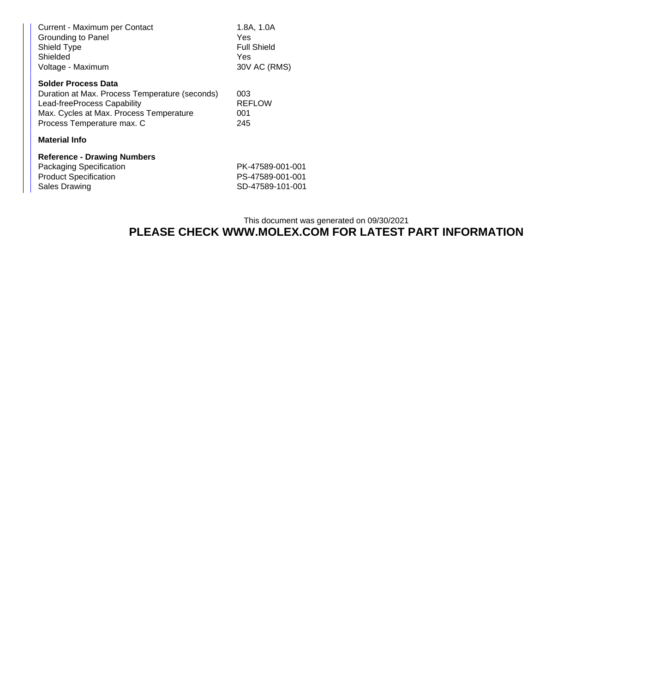| Current - Maximum per Contact<br>Grounding to Panel<br>Shield Type<br>Shielded<br>Voltage - Maximum                                                                                  | 1.8A, 1.0A<br>Yes<br><b>Full Shield</b><br>Yes<br>30V AC (RMS) |  |  |  |
|--------------------------------------------------------------------------------------------------------------------------------------------------------------------------------------|----------------------------------------------------------------|--|--|--|
| <b>Solder Process Data</b><br>Duration at Max. Process Temperature (seconds)<br>Lead-freeProcess Capability<br>Max. Cycles at Max. Process Temperature<br>Process Temperature max. C | 003<br><b>REFLOW</b><br>001<br>245                             |  |  |  |
| <b>Material Info</b>                                                                                                                                                                 |                                                                |  |  |  |
| <b>Reference - Drawing Numbers</b><br>Packaging Specification<br><b>Product Specification</b><br>Sales Drawing                                                                       | PK-47589-001-001<br>PS-47589-001-001<br>SD-47589-101-001       |  |  |  |

## This document was generated on 09/30/2021 **PLEASE CHECK WWW.MOLEX.COM FOR LATEST PART INFORMATION**